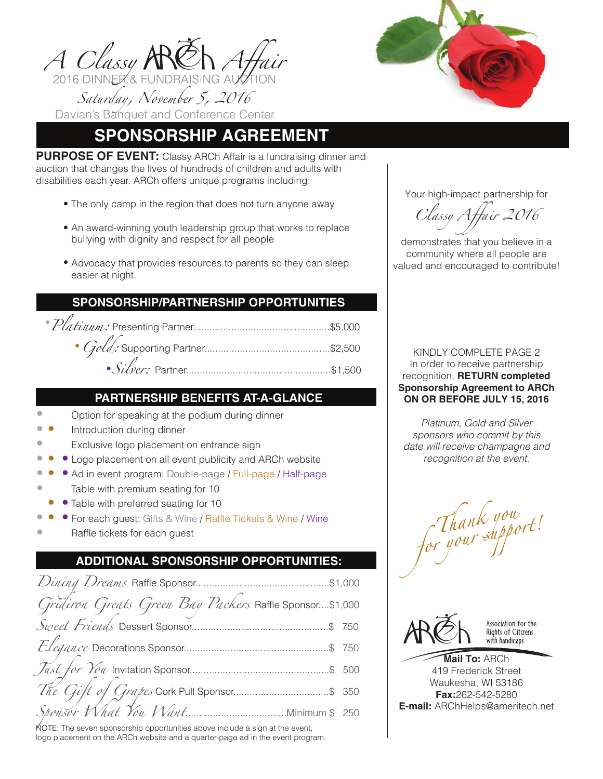

# **SPONSORSHIP AGREEMENT**

**PURPOSE OF EVENT:** Classy ARCh Affair is a fundraising dinner and auction that changes the lives of hundreds of children and adults with disabilities each year. ARCh offers unique programs including:

- The only camp in the region that does not turn anyone away
- An award-winning youth leadership group that works to replace bullying with dignity and respect for all people
- Advocacy that provides resources to parents so they can sleep easier at night.

## **SPONSORSHIP/PARTNERSHIP OPPORTUNITIES**

 *Platinum:* Presenting Partner..................................................\$5,000  *Gold:* Supporting Partner..............................................\$2,500

*Silver:* Partner.....................................................\$1,500

## **PARTNERSHIP BENEFITS AT-A-GLANCE**

- Option for speaking at the podium during dinner •
- Introduction during dinner • •
- Exclusive logo placement on entrance sign •
- Logo placement on all event publicity and ARCh website • • •
- Ad in event program: Double-page / Full-page / Half-page • • • •
- Table with premium seating for 10
- • Table with preferred seating for 10
- For each guest: Gifts & Wine / Raffle Tickets & Wine / Wine • • •
- Raffle tickets for each guest •

## **ADDITIONAL SPONSORSHIP OPPORTUNITIES:**

| Gridiron Greats Green Bay Packers Raffle Sponsor\$1,000 |  |
|---------------------------------------------------------|--|
|                                                         |  |
|                                                         |  |
|                                                         |  |
|                                                         |  |
|                                                         |  |

NOTE: The seven sponsorship opportunities above include a sign at the event, logo placement on the ARCh website and a quarter-page ad in the event program.



Your high-impact partnership for

*Classy Affair 2016*

demonstrates that you believe in a community where all people are valued and encouraged to contribute!

KINDLY COMPLETE PAGE 2 In order to receive partnership recognition, **RETURN completed Sponsorship Agreement to ARCh ON OR BEFORE JULY 15, 2016**

*Platinum, Gold and Silver sponsors who commit by this date will receive champagne and recognition at the event.*

Thank you<br>for your support!



Association for the Rights of Citizens with handicaps

**Mail To:** ARCh 419 Frederick Street Waukesha, WI 53186 **Fax:**262-542-5280 **E-mail:** ARChHelps@ameritech.net